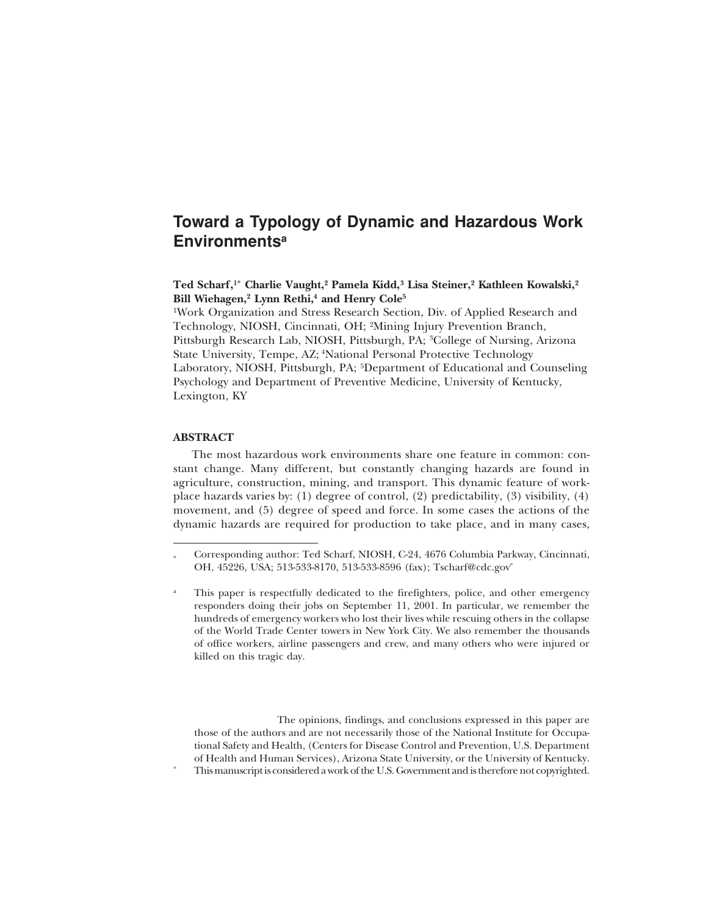# **Toward a Typology of Dynamic and Hazardous Work Environmentsa**

**Ted Scharf,1\* Charlie Vaught,2 Pamela Kidd,3 Lisa Steiner,2 Kathleen Kowalski,2 Bill Wiehagen,2 Lynn Rethi,4 and Henry Cole5** 

1Work Organization and Stress Research Section, Div. of Applied Research and Technology, NIOSH, Cincinnati, OH; 2Mining Injury Prevention Branch, Pittsburgh Research Lab, NIOSH, Pittsburgh, PA; 3College of Nursing, Arizona State University, Tempe, AZ; 4National Personal Protective Technology Laboratory, NIOSH, Pittsburgh, PA; 5Department of Educational and Counseling Psychology and Department of Preventive Medicine, University of Kentucky, Lexington, KY

# **ABSTRACT**

The most hazardous work environments share one feature in common: constant change. Many different, but constantly changing hazards are found in agriculture, construction, mining, and transport. This dynamic feature of workplace hazards varies by: (1) degree of control, (2) predictability, (3) visibility, (4) movement, and (5) degree of speed and force. In some cases the actions of the dynamic hazards are required for production to take place, and in many cases,

The opinions, findings, and conclusions expressed in this paper are those of the authors and are not necessarily those of the National Institute for Occupational Safety and Health, (Centers for Disease Control and Prevention, U.S. Department of Health and Human Services), Arizona State University, or the University of Kentucky. This manuscript is considered a work of the U.S. Government and is therefore not copyrighted.

<sup>\*</sup> Corresponding author: Ted Scharf, NIOSH, C-24, 4676 Columbia Parkway, Cincinnati, OH, 45226, USA; 513-533-8170, 513-533-8596 (fax); Tscharf@cdc.gov\*

This paper is respectfully dedicated to the firefighters, police, and other emergency responders doing their jobs on September 11, 2001. In particular, we remember the hundreds of emergency workers who lost their lives while rescuing others in the collapse of the World Trade Center towers in New York City. We also remember the thousands of office workers, airline passengers and crew, and many others who were injured or killed on this tragic day.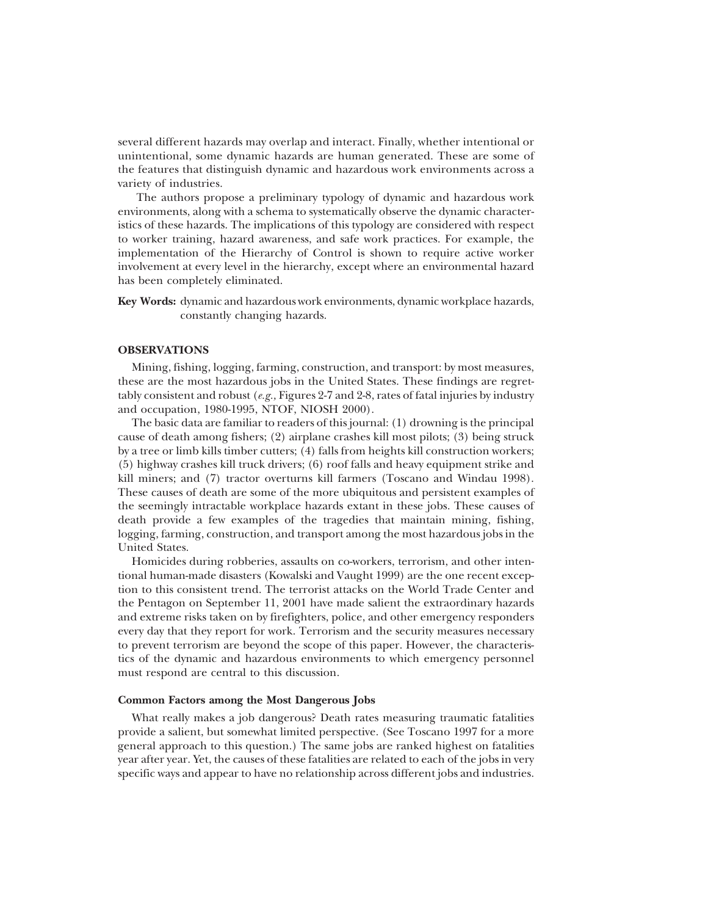several different hazards may overlap and interact. Finally, whether intentional or unintentional, some dynamic hazards are human generated. These are some of the features that distinguish dynamic and hazardous work environments across a variety of industries.

The authors propose a preliminary typology of dynamic and hazardous work environments, along with a schema to systematically observe the dynamic characteristics of these hazards. The implications of this typology are considered with respect to worker training, hazard awareness, and safe work practices. For example, the implementation of the Hierarchy of Control is shown to require active worker involvement at every level in the hierarchy, except where an environmental hazard has been completely eliminated.

**Key Words:** dynamic and hazardous work environments, dynamic workplace hazards, constantly changing hazards.

# **OBSERVATIONS**

Mining, fishing, logging, farming, construction, and transport: by most measures, these are the most hazardous jobs in the United States. These findings are regrettably consistent and robust (*e.g.,* Figures 2-7 and 2-8, rates of fatal injuries by industry and occupation, 1980-1995, NTOF, NIOSH 2000).

The basic data are familiar to readers of this journal: (1) drowning is the principal cause of death among fishers; (2) airplane crashes kill most pilots; (3) being struck by a tree or limb kills timber cutters; (4) falls from heights kill construction workers; (5) highway crashes kill truck drivers; (6) roof falls and heavy equipment strike and kill miners; and (7) tractor overturns kill farmers (Toscano and Windau 1998). These causes of death are some of the more ubiquitous and persistent examples of the seemingly intractable workplace hazards extant in these jobs. These causes of death provide a few examples of the tragedies that maintain mining, fishing, logging, farming, construction, and transport among the most hazardous jobs in the United States.

Homicides during robberies, assaults on co-workers, terrorism, and other intentional human-made disasters (Kowalski and Vaught 1999) are the one recent exception to this consistent trend. The terrorist attacks on the World Trade Center and the Pentagon on September 11, 2001 have made salient the extraordinary hazards and extreme risks taken on by firefighters, police, and other emergency responders every day that they report for work. Terrorism and the security measures necessary to prevent terrorism are beyond the scope of this paper. However, the characteristics of the dynamic and hazardous environments to which emergency personnel must respond are central to this discussion.

#### **Common Factors among the Most Dangerous Jobs**

What really makes a job dangerous? Death rates measuring traumatic fatalities provide a salient, but somewhat limited perspective. (See Toscano 1997 for a more general approach to this question.) The same jobs are ranked highest on fatalities year after year. Yet, the causes of these fatalities are related to each of the jobs in very specific ways and appear to have no relationship across different jobs and industries.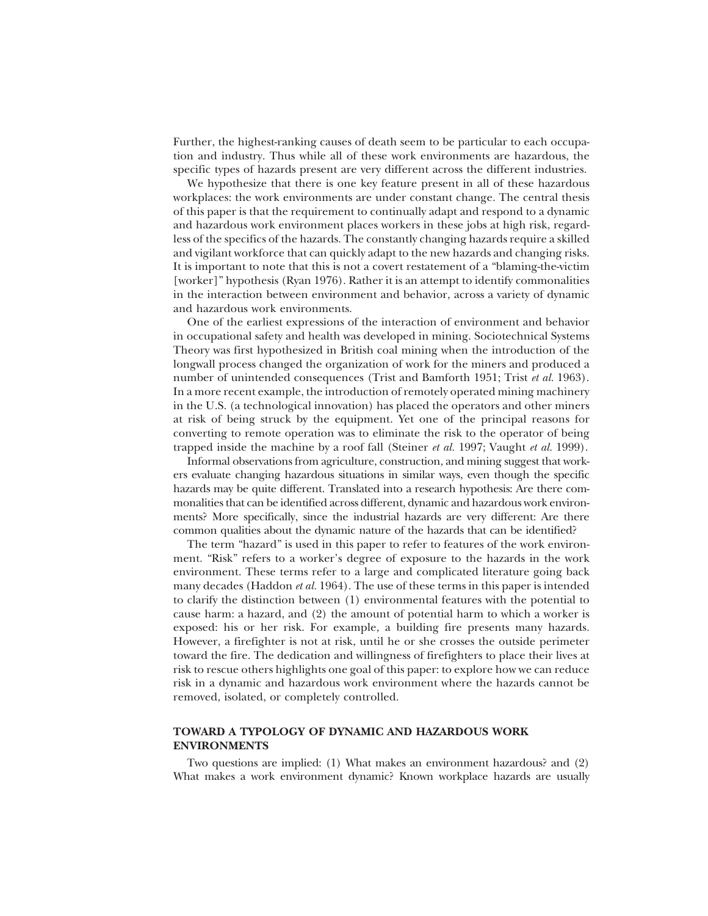Further, the highest-ranking causes of death seem to be particular to each occupation and industry. Thus while all of these work environments are hazardous, the specific types of hazards present are very different across the different industries.

We hypothesize that there is one key feature present in all of these hazardous workplaces: the work environments are under constant change. The central thesis of this paper is that the requirement to continually adapt and respond to a dynamic and hazardous work environment places workers in these jobs at high risk, regardless of the specifics of the hazards. The constantly changing hazards require a skilled and vigilant workforce that can quickly adapt to the new hazards and changing risks. It is important to note that this is not a covert restatement of a "blaming-the-victim [worker]" hypothesis (Ryan 1976). Rather it is an attempt to identify commonalities in the interaction between environment and behavior, across a variety of dynamic and hazardous work environments.

One of the earliest expressions of the interaction of environment and behavior in occupational safety and health was developed in mining. Sociotechnical Systems Theory was first hypothesized in British coal mining when the introduction of the longwall process changed the organization of work for the miners and produced a number of unintended consequences (Trist and Bamforth 1951; Trist *et al.* 1963). In a more recent example, the introduction of remotely operated mining machinery in the U.S. (a technological innovation) has placed the operators and other miners at risk of being struck by the equipment. Yet one of the principal reasons for converting to remote operation was to eliminate the risk to the operator of being trapped inside the machine by a roof fall (Steiner *et al.* 1997; Vaught *et al.* 1999).

Informal observations from agriculture, construction, and mining suggest that workers evaluate changing hazardous situations in similar ways, even though the specific hazards may be quite different. Translated into a research hypothesis: Are there commonalities that can be identified across different, dynamic and hazardous work environments? More specifically, since the industrial hazards are very different: Are there common qualities about the dynamic nature of the hazards that can be identified?

The term "hazard" is used in this paper to refer to features of the work environment. "Risk" refers to a worker's degree of exposure to the hazards in the work environment. These terms refer to a large and complicated literature going back many decades (Haddon *et al.* 1964). The use of these terms in this paper is intended to clarify the distinction between (1) environmental features with the potential to cause harm: a hazard, and (2) the amount of potential harm to which a worker is exposed: his or her risk. For example, a building fire presents many hazards. However, a firefighter is not at risk, until he or she crosses the outside perimeter toward the fire. The dedication and willingness of firefighters to place their lives at risk to rescue others highlights one goal of this paper: to explore how we can reduce risk in a dynamic and hazardous work environment where the hazards cannot be removed, isolated, or completely controlled.

# **TOWARD A TYPOLOGY OF DYNAMIC AND HAZARDOUS WORK ENVIRONMENTS**

Two questions are implied: (1) What makes an environment hazardous? and (2) What makes a work environment dynamic? Known workplace hazards are usually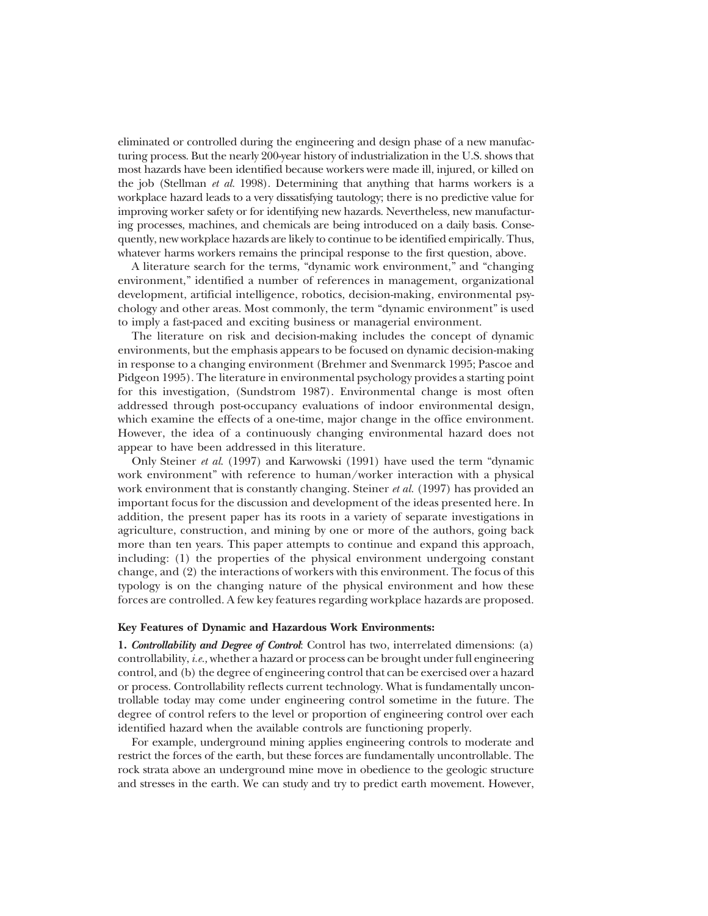eliminated or controlled during the engineering and design phase of a new manufacturing process. But the nearly 200-year history of industrialization in the U.S. shows that most hazards have been identified because workers were made ill, injured, or killed on the job (Stellman *et al.* 1998). Determining that anything that harms workers is a workplace hazard leads to a very dissatisfying tautology; there is no predictive value for improving worker safety or for identifying new hazards. Nevertheless, new manufacturing processes, machines, and chemicals are being introduced on a daily basis. Consequently, new workplace hazards are likely to continue to be identified empirically. Thus, whatever harms workers remains the principal response to the first question, above.

A literature search for the terms, "dynamic work environment," and "changing environment," identified a number of references in management, organizational development, artificial intelligence, robotics, decision-making, environmental psychology and other areas. Most commonly, the term "dynamic environment" is used to imply a fast-paced and exciting business or managerial environment.

The literature on risk and decision-making includes the concept of dynamic environments, but the emphasis appears to be focused on dynamic decision-making in response to a changing environment (Brehmer and Svenmarck 1995; Pascoe and Pidgeon 1995). The literature in environmental psychology provides a starting point for this investigation, (Sundstrom 1987). Environmental change is most often addressed through post-occupancy evaluations of indoor environmental design, which examine the effects of a one-time, major change in the office environment. However, the idea of a continuously changing environmental hazard does not appear to have been addressed in this literature.

Only Steiner *et al*. (1997) and Karwowski (1991) have used the term "dynamic work environment" with reference to human/worker interaction with a physical work environment that is constantly changing. Steiner *et al.* (1997) has provided an important focus for the discussion and development of the ideas presented here. In addition, the present paper has its roots in a variety of separate investigations in agriculture, construction, and mining by one or more of the authors, going back more than ten years. This paper attempts to continue and expand this approach, including: (1) the properties of the physical environment undergoing constant change, and (2) the interactions of workers with this environment. The focus of this typology is on the changing nature of the physical environment and how these forces are controlled. A few key features regarding workplace hazards are proposed.

#### **Key Features of Dynamic and Hazardous Work Environments:**

**1.** *Controllability and Degree of Control*: Control has two, interrelated dimensions: (a) controllability, *i.e.,* whether a hazard or process can be brought under full engineering control, and (b) the degree of engineering control that can be exercised over a hazard or process. Controllability reflects current technology. What is fundamentally uncontrollable today may come under engineering control sometime in the future. The degree of control refers to the level or proportion of engineering control over each identified hazard when the available controls are functioning properly.

For example, underground mining applies engineering controls to moderate and restrict the forces of the earth, but these forces are fundamentally uncontrollable. The rock strata above an underground mine move in obedience to the geologic structure and stresses in the earth. We can study and try to predict earth movement. However,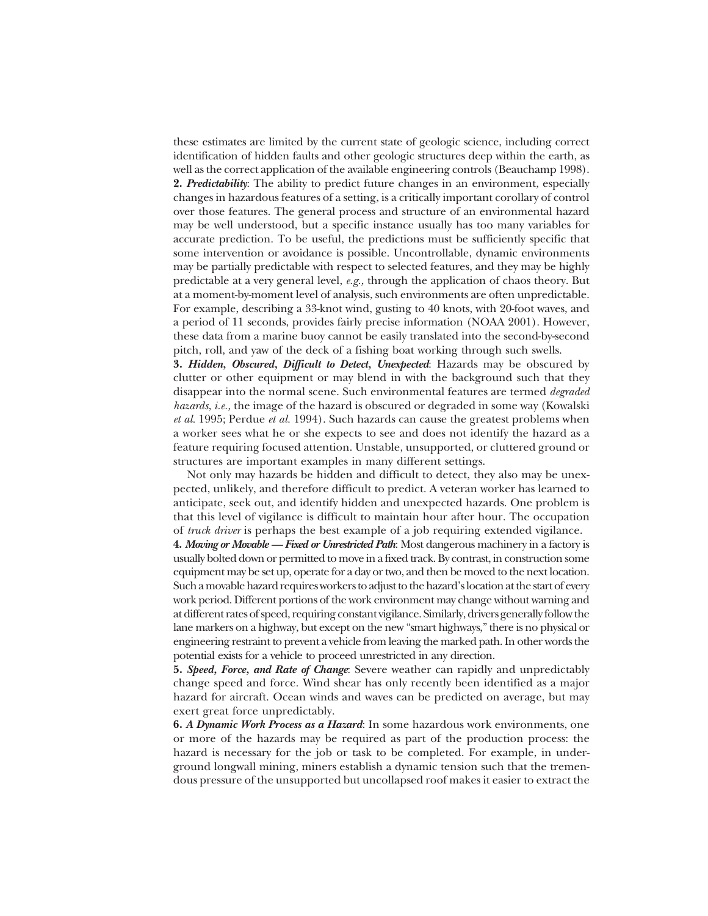these estimates are limited by the current state of geologic science, including correct identification of hidden faults and other geologic structures deep within the earth, as well as the correct application of the available engineering controls (Beauchamp 1998). **2.** *Predictability*: The ability to predict future changes in an environment, especially changes in hazardous features of a setting, is a critically important corollary of control over those features. The general process and structure of an environmental hazard may be well understood, but a specific instance usually has too many variables for accurate prediction. To be useful, the predictions must be sufficiently specific that some intervention or avoidance is possible. Uncontrollable, dynamic environments may be partially predictable with respect to selected features, and they may be highly predictable at a very general level, *e.g.,* through the application of chaos theory. But at a moment-by-moment level of analysis, such environments are often unpredictable. For example, describing a 33-knot wind, gusting to 40 knots, with 20-foot waves, and a period of 11 seconds, provides fairly precise information (NOAA 2001). However, these data from a marine buoy cannot be easily translated into the second-by-second pitch, roll, and yaw of the deck of a fishing boat working through such swells.

**3.** *Hidden, Obscured, Difficult to Detect, Unexpected*: Hazards may be obscured by clutter or other equipment or may blend in with the background such that they disappear into the normal scene. Such environmental features are termed *degraded hazards*, *i.e.,* the image of the hazard is obscured or degraded in some way (Kowalski *et al.* 1995; Perdue *et al.* 1994). Such hazards can cause the greatest problems when a worker sees what he or she expects to see and does not identify the hazard as a feature requiring focused attention. Unstable, unsupported, or cluttered ground or structures are important examples in many different settings.

Not only may hazards be hidden and difficult to detect, they also may be unexpected, unlikely, and therefore difficult to predict. A veteran worker has learned to anticipate, seek out, and identify hidden and unexpected hazards. One problem is that this level of vigilance is difficult to maintain hour after hour. The occupation of *truck driver* is perhaps the best example of a job requiring extended vigilance.

**4.** *Moving or Movable — Fixed or Unrestricted Path*: Most dangerous machinery in a factory is usually bolted down or permitted to move in a fixed track. By contrast, in construction some equipment may be set up, operate for a day or two, and then be moved to the next location. Such a movable hazard requires workers to adjust to the hazard's location at the start of every work period. Different portions of the work environment may change without warning and at different rates of speed, requiring constant vigilance. Similarly, drivers generally follow the lane markers on a highway, but except on the new "smart highways," there is no physical or engineering restraint to prevent a vehicle from leaving the marked path. In other words the potential exists for a vehicle to proceed unrestricted in any direction.

**5.** *Speed, Force, and Rate of Change*: Severe weather can rapidly and unpredictably change speed and force. Wind shear has only recently been identified as a major hazard for aircraft. Ocean winds and waves can be predicted on average, but may exert great force unpredictably.

**6.** *A Dynamic Work Process as a Hazard*: In some hazardous work environments, one or more of the hazards may be required as part of the production process: the hazard is necessary for the job or task to be completed. For example, in underground longwall mining, miners establish a dynamic tension such that the tremendous pressure of the unsupported but uncollapsed roof makes it easier to extract the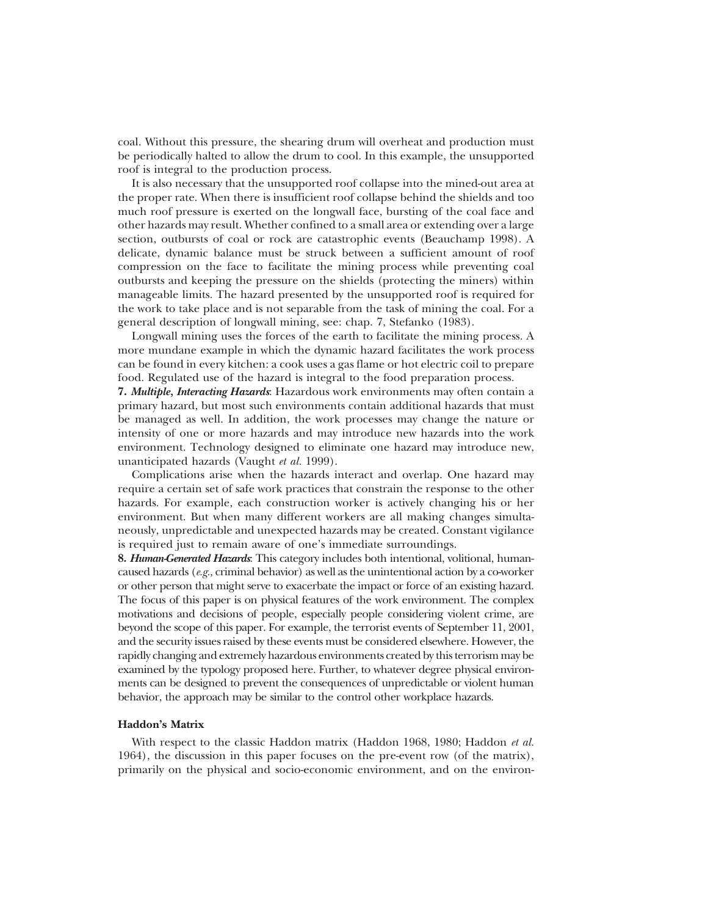coal. Without this pressure, the shearing drum will overheat and production must be periodically halted to allow the drum to cool. In this example, the unsupported roof is integral to the production process.

It is also necessary that the unsupported roof collapse into the mined-out area at the proper rate. When there is insufficient roof collapse behind the shields and too much roof pressure is exerted on the longwall face, bursting of the coal face and other hazards may result. Whether confined to a small area or extending over a large section, outbursts of coal or rock are catastrophic events (Beauchamp 1998). A delicate, dynamic balance must be struck between a sufficient amount of roof compression on the face to facilitate the mining process while preventing coal outbursts and keeping the pressure on the shields (protecting the miners) within manageable limits. The hazard presented by the unsupported roof is required for the work to take place and is not separable from the task of mining the coal. For a general description of longwall mining, see: chap. 7, Stefanko (1983).

Longwall mining uses the forces of the earth to facilitate the mining process. A more mundane example in which the dynamic hazard facilitates the work process can be found in every kitchen: a cook uses a gas flame or hot electric coil to prepare food. Regulated use of the hazard is integral to the food preparation process.

**7.** *Multiple, Interacting Hazards*: Hazardous work environments may often contain a primary hazard, but most such environments contain additional hazards that must be managed as well. In addition, the work processes may change the nature or intensity of one or more hazards and may introduce new hazards into the work environment. Technology designed to eliminate one hazard may introduce new, unanticipated hazards (Vaught *et al.* 1999).

Complications arise when the hazards interact and overlap. One hazard may require a certain set of safe work practices that constrain the response to the other hazards. For example, each construction worker is actively changing his or her environment. But when many different workers are all making changes simultaneously, unpredictable and unexpected hazards may be created. Constant vigilance is required just to remain aware of one's immediate surroundings.

**8.** *Human-Generated Hazards*: This category includes both intentional, volitional, humancaused hazards (*e.g.,* criminal behavior) as well as the unintentional action by a co-worker or other person that might serve to exacerbate the impact or force of an existing hazard. The focus of this paper is on physical features of the work environment. The complex motivations and decisions of people, especially people considering violent crime, are beyond the scope of this paper. For example, the terrorist events of September 11, 2001, and the security issues raised by these events must be considered elsewhere. However, the rapidly changing and extremely hazardous environments created by this terrorism may be examined by the typology proposed here. Further, to whatever degree physical environments can be designed to prevent the consequences of unpredictable or violent human behavior, the approach may be similar to the control other workplace hazards.

#### **Haddon's Matrix**

With respect to the classic Haddon matrix (Haddon 1968, 1980; Haddon *et al.*  1964), the discussion in this paper focuses on the pre-event row (of the matrix), primarily on the physical and socio-economic environment, and on the environ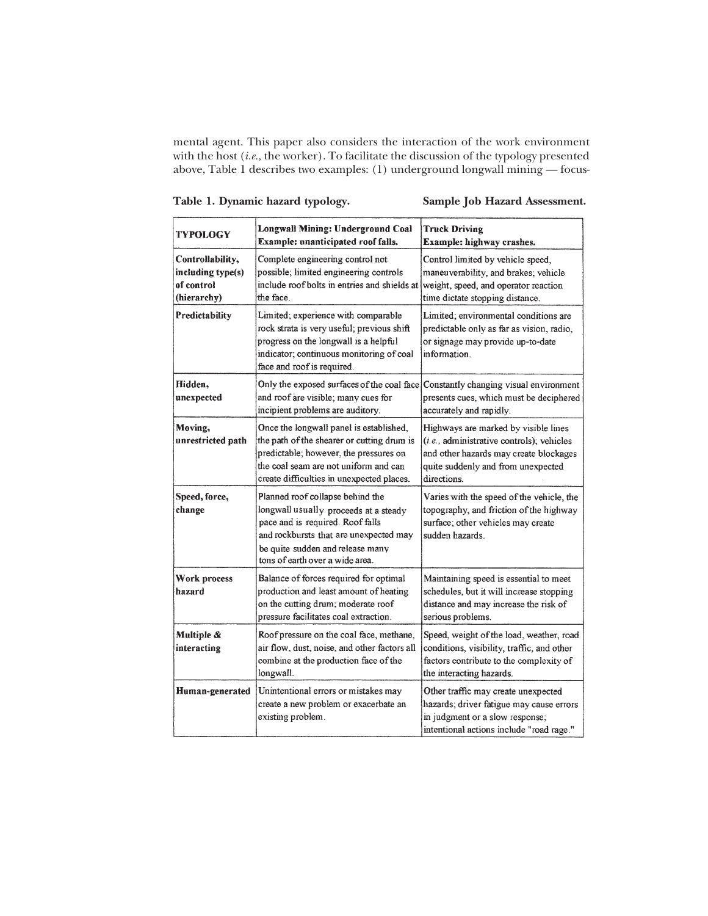mental agent. This paper also considers the interaction of the work environment with the host (*i.e.,* the worker). To facilitate the discussion of the typology presented above, Table 1 describes two examples: (1) underground longwall mining — focus-

| Table 1. Dynamic hazard typology. |  |  |  |  |
|-----------------------------------|--|--|--|--|
|-----------------------------------|--|--|--|--|

# Dynamic hazard typology. Sample Job Hazard Assessment.

| TYPOLOGY                                                           | <b>Longwall Mining: Underground Coal</b><br>Example: unanticipated roof falls.                                                                                                                                                 | <b>Truck Driving</b><br>Example: highway crashes.                                                                                                                                |
|--------------------------------------------------------------------|--------------------------------------------------------------------------------------------------------------------------------------------------------------------------------------------------------------------------------|----------------------------------------------------------------------------------------------------------------------------------------------------------------------------------|
| Controllability,<br>including type(s)<br>of control<br>(hierarchy) | Complete engineering control not<br>possible; limited engineering controls<br>include roof bolts in entries and shields at<br>the face.                                                                                        | Control limited by vehicle speed,<br>maneuverability, and brakes; vehicle<br>weight, speed, and operator reaction<br>time dictate stopping distance.                             |
| Predictability                                                     | Limited; experience with comparable<br>rock strata is very useful; previous shift<br>progress on the longwall is a helpful<br>indicator; continuous monitoring of coal<br>face and roof is required.                           | Limited; environmental conditions are<br>predictable only as far as vision, radio,<br>or signage may provide up-to-date<br>information.                                          |
| Hidden,<br>unexpected                                              | Only the exposed surfaces of the coal face<br>and roof are visible; many cues for<br>incipient problems are auditory.                                                                                                          | Constantly changing visual environment<br>presents cues, which must be deciphered<br>accurately and rapidly.                                                                     |
| Moving,<br>unrestricted path                                       | Once the longwall panel is established,<br>the path of the shearer or cutting drum is<br>predictable; however, the pressures on<br>the coal seam are not uniform and can<br>create difficulties in unexpected places.          | Highways are marked by visible lines<br>(i.e., administrative controls); vehicles<br>and other hazards may create blockages<br>quite suddenly and from unexpected<br>directions. |
| Speed, force,<br>change                                            | Planned roof collapse behind the<br>longwall usually proceeds at a steady<br>pace and is required. Roof falls<br>and rockbursts that are unexpected may<br>be quite sudden and release many<br>tons of earth over a wide area. | Varies with the speed of the vehicle, the<br>topography, and friction of the highway<br>surface; other vehicles may create<br>sudden hazards.                                    |
| Work process<br>hazard                                             | Balance of forces required for optimal<br>production and least amount of heating<br>on the cutting drum; moderate roof<br>pressure facilitates coal extraction.                                                                | Maintaining speed is essential to meet<br>schedules, but it will increase stopping<br>distance and may increase the risk of<br>serious problems.                                 |
| Multiple &<br>interacting                                          | Roof pressure on the coal face, methane,<br>air flow, dust, noise, and other factors all<br>combine at the production face of the<br>longwall.                                                                                 | Speed, weight of the load, weather, road<br>conditions, visibility, traffic, and other<br>factors contribute to the complexity of<br>the interacting hazards.                    |
| Human-generated                                                    | Unintentional errors or mistakes may<br>create a new problem or exacerbate an<br>existing problem.                                                                                                                             | Other traffic may create unexpected<br>hazards; driver fatigue may cause errors<br>in judgment or a slow response;<br>intentional actions include "road rage."                   |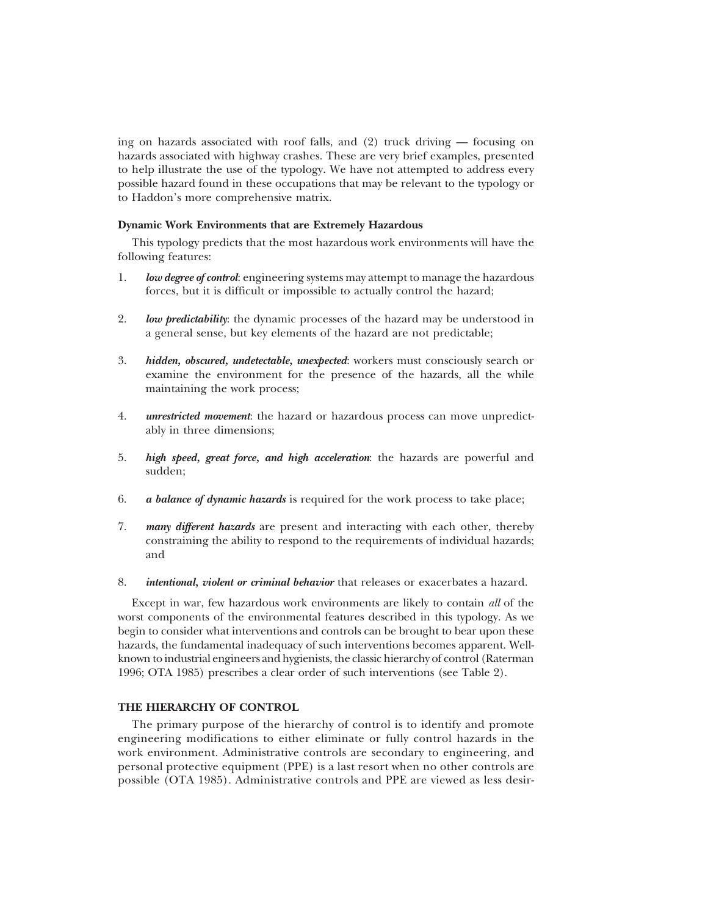ing on hazards associated with roof falls, and (2) truck driving — focusing on hazards associated with highway crashes. These are very brief examples, presented to help illustrate the use of the typology. We have not attempted to address every possible hazard found in these occupations that may be relevant to the typology or to Haddon's more comprehensive matrix.

## **Dynamic Work Environments that are Extremely Hazardous**

This typology predicts that the most hazardous work environments will have the following features:

- 1. *low degree of control*: engineering systems may attempt to manage the hazardous forces, but it is difficult or impossible to actually control the hazard;
- 2. *low predictability*: the dynamic processes of the hazard may be understood in a general sense, but key elements of the hazard are not predictable;
- 3. *hidden, obscured, undetectable, unexpected*: workers must consciously search or examine the environment for the presence of the hazards, all the while maintaining the work process;
- 4. *unrestricted movement*: the hazard or hazardous process can move unpredictably in three dimensions;
- 5. *high speed, great force, and high acceleration*: the hazards are powerful and sudden;
- 6. *a balance of dynamic hazards* is required for the work process to take place;
- 7. *many different hazards* are present and interacting with each other, thereby constraining the ability to respond to the requirements of individual hazards; and
- 8. *intentional, violent or criminal behavior* that releases or exacerbates a hazard.

Except in war, few hazardous work environments are likely to contain *all* of the worst components of the environmental features described in this typology. As we begin to consider what interventions and controls can be brought to bear upon these hazards, the fundamental inadequacy of such interventions becomes apparent. Wellknown to industrial engineers and hygienists, the classic hierarchy of control (Raterman 1996; OTA 1985) prescribes a clear order of such interventions (see Table 2).

# **THE HIERARCHY OF CONTROL**

The primary purpose of the hierarchy of control is to identify and promote engineering modifications to either eliminate or fully control hazards in the work environment. Administrative controls are secondary to engineering, and personal protective equipment (PPE) is a last resort when no other controls are possible (OTA 1985). Administrative controls and PPE are viewed as less desir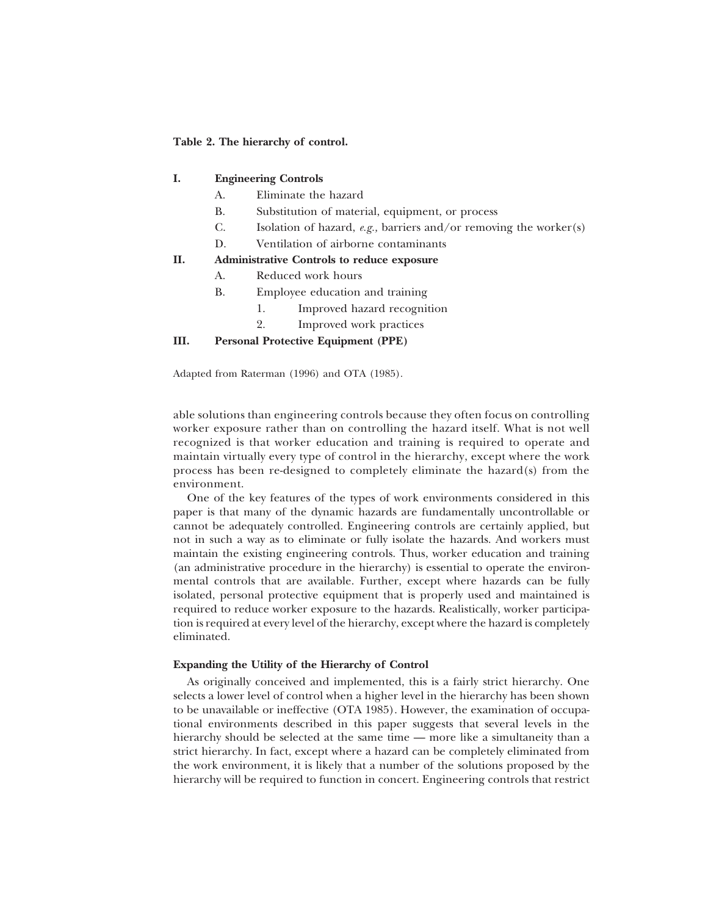# **Table 2. The hierarchy of control.**

# **I. Engineering Controls**

- A. Eliminate the hazard
- B. Substitution of material, equipment, or process
- C. Isolation of hazard, *e.g.,* barriers and/or removing the worker(s)
- D. Ventilation of airborne contaminants

# **II. Administrative Controls to reduce exposure**

- A. Reduced work hours
- B. Employee education and training
	- 1. Improved hazard recognition
	- 2. Improved work practices

# **III. Personal Protective Equipment (PPE)**

Adapted from Raterman (1996) and OTA (1985).

able solutions than engineering controls because they often focus on controlling worker exposure rather than on controlling the hazard itself. What is not well recognized is that worker education and training is required to operate and maintain virtually every type of control in the hierarchy, except where the work process has been re-designed to completely eliminate the hazard(s) from the environment.

One of the key features of the types of work environments considered in this paper is that many of the dynamic hazards are fundamentally uncontrollable or cannot be adequately controlled. Engineering controls are certainly applied, but not in such a way as to eliminate or fully isolate the hazards. And workers must maintain the existing engineering controls. Thus, worker education and training (an administrative procedure in the hierarchy) is essential to operate the environmental controls that are available. Further, except where hazards can be fully isolated, personal protective equipment that is properly used and maintained is required to reduce worker exposure to the hazards. Realistically, worker participation is required at every level of the hierarchy, except where the hazard is completely eliminated.

#### **Expanding the Utility of the Hierarchy of Control**

As originally conceived and implemented, this is a fairly strict hierarchy. One selects a lower level of control when a higher level in the hierarchy has been shown to be unavailable or ineffective (OTA 1985). However, the examination of occupational environments described in this paper suggests that several levels in the hierarchy should be selected at the same time — more like a simultaneity than a strict hierarchy. In fact, except where a hazard can be completely eliminated from the work environment, it is likely that a number of the solutions proposed by the hierarchy will be required to function in concert. Engineering controls that restrict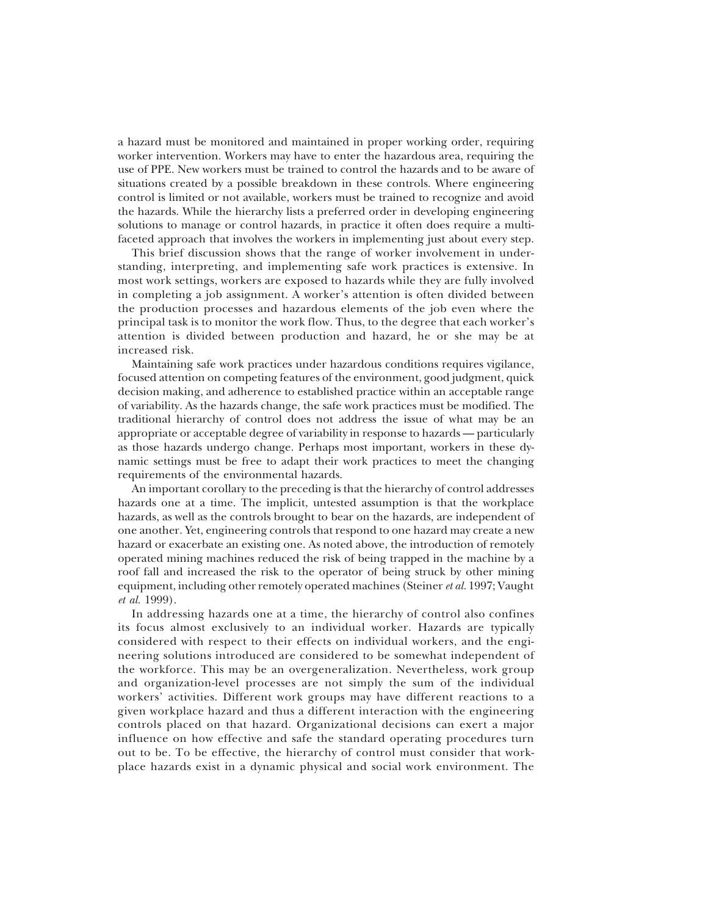a hazard must be monitored and maintained in proper working order, requiring worker intervention. Workers may have to enter the hazardous area, requiring the use of PPE. New workers must be trained to control the hazards and to be aware of situations created by a possible breakdown in these controls. Where engineering control is limited or not available, workers must be trained to recognize and avoid the hazards. While the hierarchy lists a preferred order in developing engineering solutions to manage or control hazards, in practice it often does require a multifaceted approach that involves the workers in implementing just about every step.

This brief discussion shows that the range of worker involvement in understanding, interpreting, and implementing safe work practices is extensive. In most work settings, workers are exposed to hazards while they are fully involved in completing a job assignment. A worker's attention is often divided between the production processes and hazardous elements of the job even where the principal task is to monitor the work flow. Thus, to the degree that each worker's attention is divided between production and hazard, he or she may be at increased risk.

Maintaining safe work practices under hazardous conditions requires vigilance, focused attention on competing features of the environment, good judgment, quick decision making, and adherence to established practice within an acceptable range of variability. As the hazards change, the safe work practices must be modified. The traditional hierarchy of control does not address the issue of what may be an appropriate or acceptable degree of variability in response to hazards — particularly as those hazards undergo change. Perhaps most important, workers in these dynamic settings must be free to adapt their work practices to meet the changing requirements of the environmental hazards.

An important corollary to the preceding is that the hierarchy of control addresses hazards one at a time. The implicit, untested assumption is that the workplace hazards, as well as the controls brought to bear on the hazards, are independent of one another. Yet, engineering controls that respond to one hazard may create a new hazard or exacerbate an existing one. As noted above, the introduction of remotely operated mining machines reduced the risk of being trapped in the machine by a roof fall and increased the risk to the operator of being struck by other mining equipment, including other remotely operated machines (Steiner *et al.* 1997; Vaught *et al.* 1999).

In addressing hazards one at a time, the hierarchy of control also confines its focus almost exclusively to an individual worker. Hazards are typically considered with respect to their effects on individual workers, and the engineering solutions introduced are considered to be somewhat independent of the workforce. This may be an overgeneralization. Nevertheless, work group and organization-level processes are not simply the sum of the individual workers' activities. Different work groups may have different reactions to a given workplace hazard and thus a different interaction with the engineering controls placed on that hazard. Organizational decisions can exert a major influence on how effective and safe the standard operating procedures turn out to be. To be effective, the hierarchy of control must consider that workplace hazards exist in a dynamic physical and social work environment. The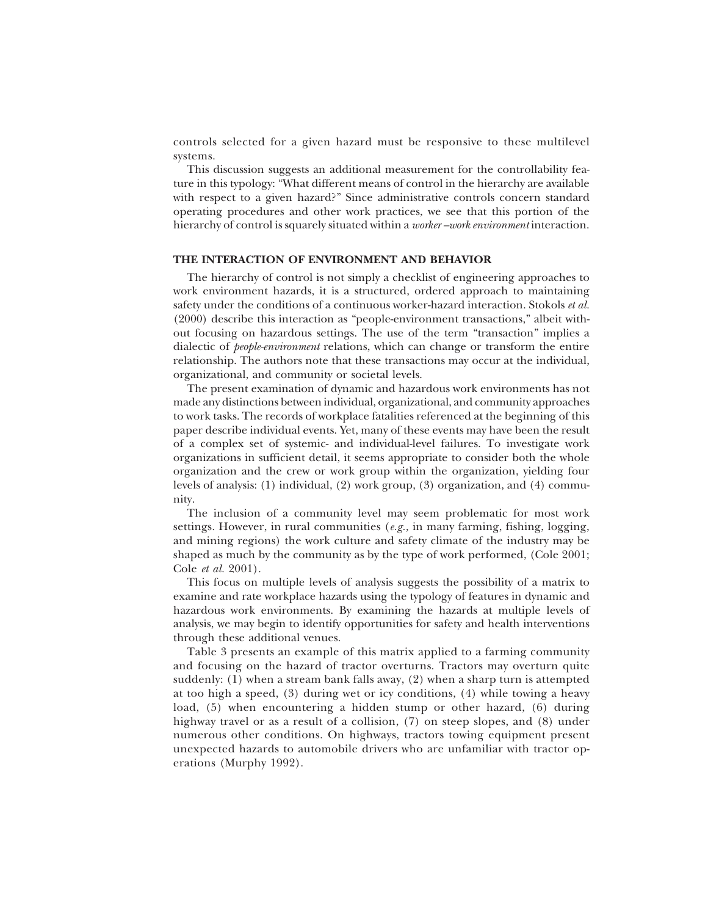controls selected for a given hazard must be responsive to these multilevel systems.

This discussion suggests an additional measurement for the controllability feature in this typology: "What different means of control in the hierarchy are available with respect to a given hazard?" Since administrative controls concern standard operating procedures and other work practices, we see that this portion of the hierarchy of control is squarely situated within a *worker –work environment* interaction.

# **THE INTERACTION OF ENVIRONMENT AND BEHAVIOR**

The hierarchy of control is not simply a checklist of engineering approaches to work environment hazards, it is a structured, ordered approach to maintaining safety under the conditions of a continuous worker-hazard interaction. Stokols *et al.*  (2000) describe this interaction as "people-environment transactions," albeit without focusing on hazardous settings. The use of the term "transaction" implies a dialectic of *people-environment* relations, which can change or transform the entire relationship. The authors note that these transactions may occur at the individual, organizational, and community or societal levels.

The present examination of dynamic and hazardous work environments has not made any distinctions between individual, organizational, and community approaches to work tasks. The records of workplace fatalities referenced at the beginning of this paper describe individual events. Yet, many of these events may have been the result of a complex set of systemic- and individual-level failures. To investigate work organizations in sufficient detail, it seems appropriate to consider both the whole organization and the crew or work group within the organization, yielding four levels of analysis: (1) individual, (2) work group, (3) organization, and (4) community.

The inclusion of a community level may seem problematic for most work settings. However, in rural communities (*e.g.,* in many farming, fishing, logging, and mining regions) the work culture and safety climate of the industry may be shaped as much by the community as by the type of work performed, (Cole 2001; Cole *et al.* 2001).

This focus on multiple levels of analysis suggests the possibility of a matrix to examine and rate workplace hazards using the typology of features in dynamic and hazardous work environments. By examining the hazards at multiple levels of analysis, we may begin to identify opportunities for safety and health interventions through these additional venues.

Table 3 presents an example of this matrix applied to a farming community and focusing on the hazard of tractor overturns. Tractors may overturn quite suddenly: (1) when a stream bank falls away, (2) when a sharp turn is attempted at too high a speed, (3) during wet or icy conditions, (4) while towing a heavy load, (5) when encountering a hidden stump or other hazard, (6) during highway travel or as a result of a collision,  $(7)$  on steep slopes, and  $(8)$  under numerous other conditions. On highways, tractors towing equipment present unexpected hazards to automobile drivers who are unfamiliar with tractor operations (Murphy 1992).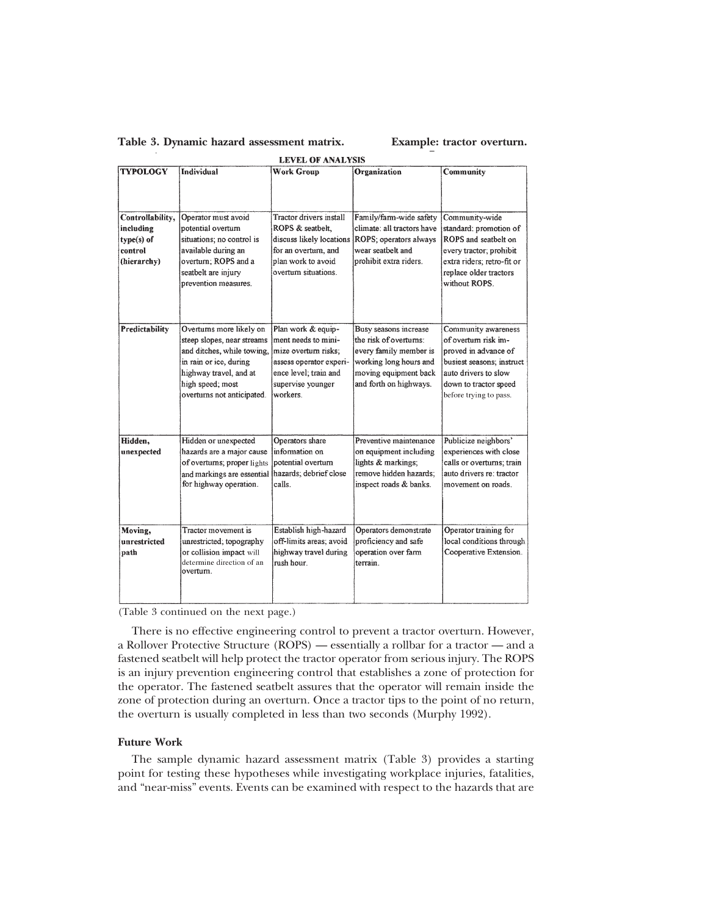#### **Table 3. Dynamic hazard assessment matrix. Example: tractor overturn.**

| <b>TYPOLOGY</b>                                                       | Individual                                                                                                                                                                                 | <b>Work Group</b>                                                                                                                                     | Organization                                                                                                                                           | Community                                                                                                                                                                   |
|-----------------------------------------------------------------------|--------------------------------------------------------------------------------------------------------------------------------------------------------------------------------------------|-------------------------------------------------------------------------------------------------------------------------------------------------------|--------------------------------------------------------------------------------------------------------------------------------------------------------|-----------------------------------------------------------------------------------------------------------------------------------------------------------------------------|
|                                                                       |                                                                                                                                                                                            |                                                                                                                                                       |                                                                                                                                                        |                                                                                                                                                                             |
| Controllability,<br>including<br>type(s) of<br>control<br>(hierarchy) | Operator must avoid<br>potential overturn<br>situations; no control is<br>available during an<br>overturn; ROPS and a<br>seatbelt are injury<br>prevention measures.                       | Tractor drivers install<br>ROPS & seatbelt,<br>discuss likely locations<br>for an overturn, and<br>plan work to avoid<br>overturn situations.         | Family/farm-wide safety<br>climate: all tractors have<br>ROPS; operators always<br>wear seatbelt and<br>prohibit extra riders.                         | Community-wide<br>standard: promotion of<br>ROPS and seatbelt on<br>every tractor; prohibit<br>extra riders; retro-fit or<br>replace older tractors<br>without ROPS         |
| Predictability                                                        | Overturns more likely on<br>steep slopes, near streams<br>and ditches, while towing,<br>in rain or ice, during<br>highway travel, and at<br>high speed; most<br>overturns not anticipated. | Plan work & equip-<br>ment needs to mini-<br>mize overtum risks;<br>assess operator experi-<br>ence level; train and<br>supervise younger<br>workers. | Busy seasons increase<br>the risk of overturns:<br>every family member is<br>working long hours and<br>moving equipment back<br>and forth on highways. | Community awareness<br>of overturn risk im-<br>proved in advance of<br>busiest seasons; instruct<br>auto drivers to slow<br>down to tractor speed<br>before trying to pass. |
| Hidden,<br>unexpected                                                 | Hidden or unexpected<br>hazards are a major cause<br>of overturns; proper lights<br>and markings are essential<br>for highway operation.                                                   | Operators share<br>information on<br>potential overturn<br>hazards; debrief close<br>calls.                                                           | Preventive maintenance<br>on equipment including<br>lights & markings;<br>remove hidden hazards:<br>inspect roads & banks.                             | Publicize neighbors'<br>experiences with close<br>calls or overturns; train<br>auto drivers re: tractor<br>movement on roads.                                               |
| Moving,<br>unrestricted<br>path                                       | Tractor movement is<br>unrestricted; topography<br>or collision impact will<br>determine direction of an<br>overturn.                                                                      | Establish high-hazard<br>off-limits areas; avoid<br>highway travel during<br>rush hour.                                                               | Operators demonstrate<br>proficiency and safe<br>operation over farm<br>terrain.                                                                       | Operator training for<br>local conditions through<br>Cooperative Extension.                                                                                                 |

#### **LEVEL OF ANALYSIS**

(Table 3 continued on the next page.)

There is no effective engineering control to prevent a tractor overturn. However, a Rollover Protective Structure (ROPS) — essentially a rollbar for a tractor — and a fastened seatbelt will help protect the tractor operator from serious injury. The ROPS is an injury prevention engineering control that establishes a zone of protection for the operator. The fastened seatbelt assures that the operator will remain inside the zone of protection during an overturn. Once a tractor tips to the point of no return, the overturn is usually completed in less than two seconds (Murphy 1992).

#### **Future Work**

The sample dynamic hazard assessment matrix (Table 3) provides a starting point for testing these hypotheses while investigating workplace injuries, fatalities, and "near-miss" events. Events can be examined with respect to the hazards that are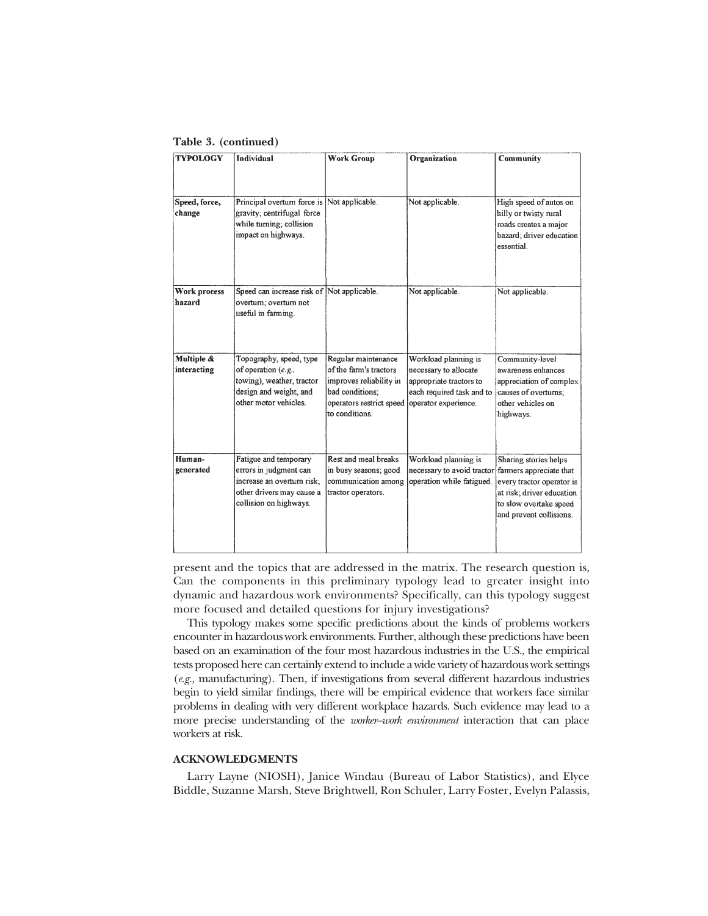#### **Table 3. (continued)**

| <b>TYPOLOGY</b>               | Individual                                                                                                                           | <b>Work Group</b>                                                                                                                         | Organization                                                                                                                  | Community                                                                                                                            |
|-------------------------------|--------------------------------------------------------------------------------------------------------------------------------------|-------------------------------------------------------------------------------------------------------------------------------------------|-------------------------------------------------------------------------------------------------------------------------------|--------------------------------------------------------------------------------------------------------------------------------------|
|                               |                                                                                                                                      |                                                                                                                                           |                                                                                                                               |                                                                                                                                      |
| Speed, force,<br>change       | Principal overturn force is<br>gravity; centrifugal force<br>while turning; collision<br>impact on highways.                         | Not applicable.                                                                                                                           | Not applicable.                                                                                                               | High speed of autos on<br>hilly or twisty rural<br>roads creates a major<br>hazard; driver education<br>essential.                   |
| <b>Work process</b><br>hazard | Speed can increase risk of Not applicable.<br>overturn; overturn not<br>useful in farming.                                           |                                                                                                                                           | Not applicable.                                                                                                               | Not applicable.                                                                                                                      |
| Multiple &<br>interacting     | Topography, speed, type<br>of operation (e.g.,<br>towing), weather, tractor<br>design and weight, and<br>other motor vehicles.       | Regular maintenance<br>of the farm's tractors<br>improves reliability in<br>bad conditions;<br>operators restrict speed<br>to conditions. | Workload planning is<br>necessary to allocate<br>appropriate tractors to<br>each required task and to<br>operator experience. | Community-level<br>awareness enhances<br>appreciation of complex<br>causes of overturns;<br>other vehicles on<br>highways.           |
| Human-<br>generated           | Fatigue and temporary<br>errors in judgment can<br>increase an overturn risk;<br>other drivers may cause a<br>collision on highways. | Rest and meal breaks<br>in busy seasons; good<br>communication among<br>tractor operators.                                                | Workload planning is<br>necessary to avoid tractor farmers appreciate that<br>operation while fatigued.                       | Sharing stories helps<br>every tractor operator is<br>at risk; driver education<br>to slow overtake speed<br>and prevent collisions. |

present and the topics that are addressed in the matrix. The research question is, Can the components in this preliminary typology lead to greater insight into dynamic and hazardous work environments? Specifically, can this typology suggest more focused and detailed questions for injury investigations?

This typology makes some specific predictions about the kinds of problems workers encounter in hazardous work environments. Further, although these predictions have been based on an examination of the four most hazardous industries in the U.S., the empirical tests proposed here can certainly extend to include a wide variety of hazardous work settings (*e.g.,* manufacturing). Then, if investigations from several different hazardous industries begin to yield similar findings, there will be empirical evidence that workers face similar problems in dealing with very different workplace hazards. Such evidence may lead to a more precise understanding of the *worker–work environment* interaction that can place workers at risk.

#### **ACKNOWLEDGMENTS**

Larry Layne (NIOSH), Janice Windau (Bureau of Labor Statistics), and Elyce Biddle, Suzanne Marsh, Steve Brightwell, Ron Schuler, Larry Foster, Evelyn Palassis,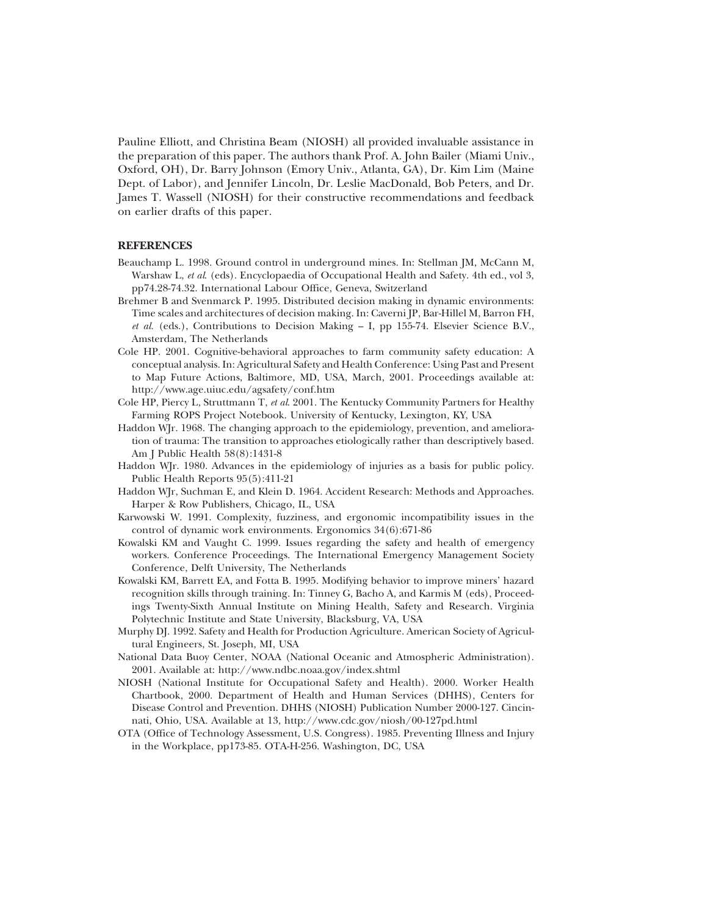Pauline Elliott, and Christina Beam (NIOSH) all provided invaluable assistance in the preparation of this paper. The authors thank Prof. A. John Bailer (Miami Univ., Oxford, OH), Dr. Barry Johnson (Emory Univ., Atlanta, GA), Dr. Kim Lim (Maine Dept. of Labor), and Jennifer Lincoln, Dr. Leslie MacDonald, Bob Peters, and Dr. James T. Wassell (NIOSH) for their constructive recommendations and feedback on earlier drafts of this paper.

#### **REFERENCES**

- Beauchamp L. 1998. Ground control in underground mines. In: Stellman JM, McCann M, Warshaw L, *et al*. (eds). Encyclopaedia of Occupational Health and Safety. 4th ed., vol 3, pp74.28-74.32. International Labour Office, Geneva, Switzerland
- Brehmer B and Svenmarck P. 1995. Distributed decision making in dynamic environments: Time scales and architectures of decision making. In: Caverni JP, Bar-Hillel M, Barron FH, *et al.* (eds.), Contributions to Decision Making – I, pp 155-74. Elsevier Science B.V., Amsterdam, The Netherlands
- Cole HP. 2001. Cognitive-behavioral approaches to farm community safety education: A conceptual analysis. In: Agricultural Safety and Health Conference: Using Past and Present to Map Future Actions, Baltimore, MD, USA, March, 2001. Proceedings available at: http://www.age.uiuc.edu/agsafety/conf.htm
- Cole HP, Piercy L, Struttmann T, *et al*. 2001. The Kentucky Community Partners for Healthy Farming ROPS Project Notebook. University of Kentucky, Lexington, KY, USA
- Haddon WJr. 1968. The changing approach to the epidemiology, prevention, and amelioration of trauma: The transition to approaches etiologically rather than descriptively based. Am J Public Health 58(8):1431-8
- Haddon WJr. 1980. Advances in the epidemiology of injuries as a basis for public policy. Public Health Reports 95(5):411-21
- Haddon WJr, Suchman E, and Klein D. 1964. Accident Research: Methods and Approaches. Harper & Row Publishers, Chicago, IL, USA
- Karwowski W. 1991. Complexity, fuzziness, and ergonomic incompatibility issues in the control of dynamic work environments. Ergonomics 34(6):671-86
- Kowalski KM and Vaught C. 1999. Issues regarding the safety and health of emergency workers. Conference Proceedings. The International Emergency Management Society Conference, Delft University, The Netherlands
- Kowalski KM, Barrett EA, and Fotta B. 1995. Modifying behavior to improve miners' hazard recognition skills through training. In: Tinney G, Bacho A, and Karmis M (eds), Proceedings Twenty-Sixth Annual Institute on Mining Health, Safety and Research. Virginia Polytechnic Institute and State University, Blacksburg, VA, USA
- Murphy DJ. 1992. Safety and Health for Production Agriculture. American Society of Agricultural Engineers, St. Joseph, MI, USA
- National Data Buoy Center, NOAA (National Oceanic and Atmospheric Administration). 2001. Available at: http://www.ndbc.noaa.gov/index.shtml
- NIOSH (National Institute for Occupational Safety and Health). 2000. Worker Health Chartbook, 2000. Department of Health and Human Services (DHHS), Centers for Disease Control and Prevention. DHHS (NIOSH) Publication Number 2000-127. Cincinnati, Ohio, USA. Available at 13, http://www.cdc.gov/niosh/00-127pd.html
- OTA (Office of Technology Assessment, U.S. Congress). 1985. Preventing Illness and Injury in the Workplace, pp173-85. OTA-H-256. Washington, DC, USA